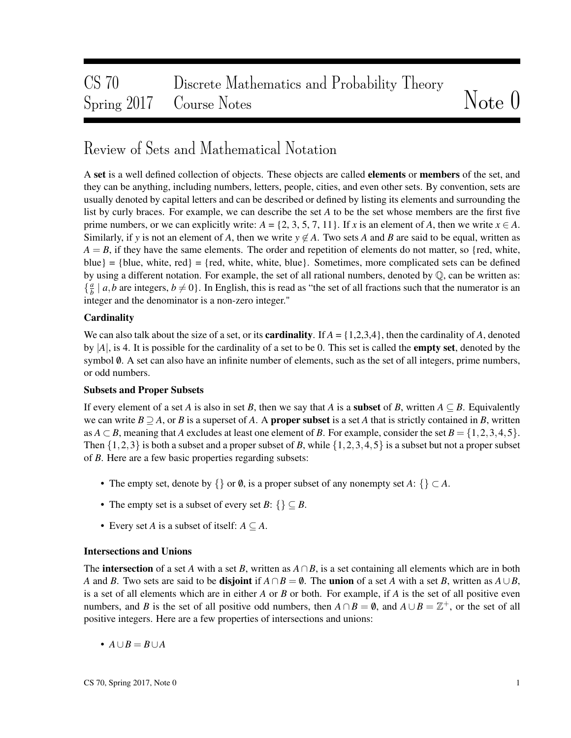# CS 70 Discrete Mathematics and Probability Theory Spring 2017 Course Notes Notes Note 0

## Review of Sets and Mathematical Notation

A set is a well defined collection of objects. These objects are called **elements** or **members** of the set, and they can be anything, including numbers, letters, people, cities, and even other sets. By convention, sets are usually denoted by capital letters and can be described or defined by listing its elements and surrounding the list by curly braces. For example, we can describe the set *A* to be the set whose members are the first five prime numbers, or we can explicitly write:  $A = \{2, 3, 5, 7, 11\}$ . If *x* is an element of *A*, then we write  $x \in A$ . Similarly, if y is not an element of A, then we write  $y \notin A$ . Two sets A and B are said to be equal, written as  $A = B$ , if they have the same elements. The order and repetition of elements do not matter, so {red, white, blue} = {blue, white, red} = {red, white, white, blue}. Sometimes, more complicated sets can be defined by using a different notation. For example, the set of all rational numbers, denoted by Q, can be written as: { *a*  $\frac{a}{b} \mid a, b$  are integers,  $b \neq 0$ . In English, this is read as "the set of all fractions such that the numerator is an integer and the denominator is a non-zero integer."

#### **Cardinality**

We can also talk about the size of a set, or its **cardinality**. If  $A = \{1,2,3,4\}$ , then the cardinality of A, denoted by |*A*|, is 4. It is possible for the cardinality of a set to be 0. This set is called the empty set, denoted by the symbol  $\emptyset$ . A set can also have an infinite number of elements, such as the set of all integers, prime numbers, or odd numbers.

#### Subsets and Proper Subsets

If every element of a set *A* is also in set *B*, then we say that *A* is a **subset** of *B*, written  $A \subseteq B$ . Equivalently we can write  $B \supseteq A$ , or *B* is a superset of *A*. A **proper subset** is a set *A* that is strictly contained in *B*, written as  $A \subset B$ , meaning that *A* excludes at least one element of *B*. For example, consider the set  $B = \{1, 2, 3, 4, 5\}$ . Then  $\{1,2,3\}$  is both a subset and a proper subset of *B*, while  $\{1,2,3,4,5\}$  is a subset but not a proper subset of *B*. Here are a few basic properties regarding subsets:

- The empty set, denote by  $\{\}$  or  $\emptyset$ , is a proper subset of any nonempty set *A*:  $\{\} \subset A$ .
- The empty set is a subset of every set  $B: \{ \} \subseteq B$ .
- Every set *A* is a subset of itself:  $A \subseteq A$ .

#### Intersections and Unions

The **intersection** of a set *A* with a set *B*, written as  $A \cap B$ , is a set containing all elements which are in both *A* and *B*. Two sets are said to be **disjoint** if  $A \cap B = \emptyset$ . The **union** of a set *A* with a set *B*, written as  $A \cup B$ , is a set of all elements which are in either *A* or *B* or both. For example, if *A* is the set of all positive even numbers, and *B* is the set of all positive odd numbers, then  $A \cap B = \emptyset$ , and  $A \cup B = \mathbb{Z}^+$ , or the set of all positive integers. Here are a few properties of intersections and unions:

 $\bullet$  *A*∪*B* = *B*∪*A*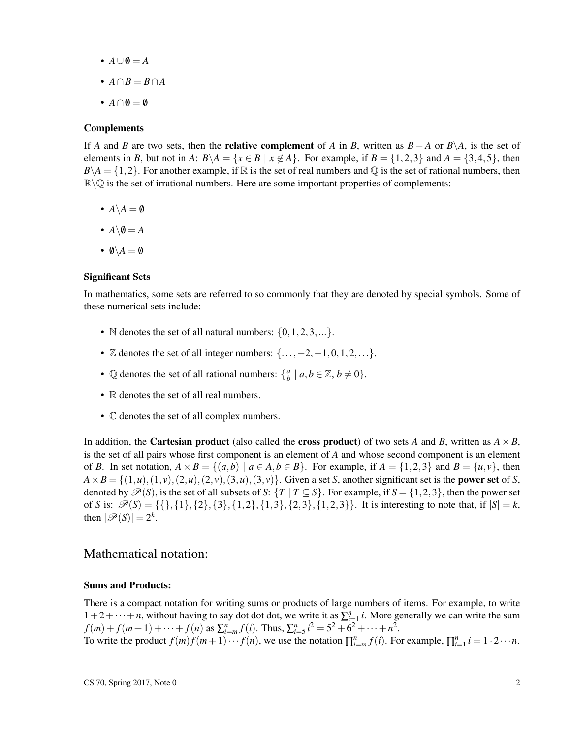- $A \cup \emptyset = A$
- *A*∩*B* = *B*∩*A*
- $A \cap \emptyset = \emptyset$

#### **Complements**

If *A* and *B* are two sets, then the **relative complement** of *A* in *B*, written as  $B - A$  or  $B \setminus A$ , is the set of elements in *B*, but not in *A*:  $B \setminus A = \{x \in B \mid x \notin A\}$ . For example, if  $B = \{1,2,3\}$  and  $A = \{3,4,5\}$ , then  $B \setminus A = \{1,2\}$ . For another example, if R is the set of real numbers and Q is the set of rational numbers, then  $\mathbb{R}\setminus\mathbb{Q}$  is the set of irrational numbers. Here are some important properties of complements:

- $A \setminus A = \emptyset$
- $A \backslash \emptyset = A$
- $\emptyset \backslash A = \emptyset$

#### Significant Sets

In mathematics, some sets are referred to so commonly that they are denoted by special symbols. Some of these numerical sets include:

- N denotes the set of all natural numbers:  $\{0, 1, 2, 3, ...\}$ .
- $\mathbb Z$  denotes the set of all integer numbers:  $\{\ldots, -2, -1, 0, 1, 2, \ldots\}$ .
- $\mathbb Q$  denotes the set of all rational numbers:  $\{\frac{a}{b}\}$  $\frac{a}{b} \mid a, b \in \mathbb{Z}, b \neq 0$ .
- R denotes the set of all real numbers.
- C denotes the set of all complex numbers.

In addition, the **Cartesian product** (also called the **cross product**) of two sets *A* and *B*, written as  $A \times B$ , is the set of all pairs whose first component is an element of *A* and whose second component is an element of *B*. In set notation,  $A \times B = \{(a, b) \mid a \in A, b \in B\}$ . For example, if  $A = \{1, 2, 3\}$  and  $B = \{u, v\}$ , then  $A \times B = \{(1, u), (1, v), (2, u), (2, v), (3, u), (3, v)\}$ . Given a set *S*, another significant set is the **power set** of *S*, denoted by  $\mathcal{P}(S)$ , is the set of all subsets of *S*:  $\{T \mid T \subseteq S\}$ . For example, if  $S = \{1,2,3\}$ , then the power set of *S* is:  $\mathcal{P}(S) = \{\{\}, \{1\}, \{2\}, \{3\}, \{1,2\}, \{1,3\}, \{2,3\}, \{1,2,3\}\}\$ . It is interesting to note that, if  $|S| = k$ , then  $|\mathscr{P}(S)| = 2^k$ .

### Mathematical notation:

#### Sums and Products:

There is a compact notation for writing sums or products of large numbers of items. For example, to write  $1+2+\cdots+n$ , without having to say dot dot dot, we write it as  $\sum_{i=1}^{n} i$ . More generally we can write the sum  $f(m) + f(m+1) + \cdots + f(n)$  as  $\sum_{i=m}^{n} f(i)$ . Thus,  $\sum_{i=5}^{n} i^2 = 5^2 + 6^2 + \cdots + n^2$ . To write the product  $f(m)f(m+1)\cdots f(n)$ , we use the notation  $\prod_{i=m}^{n} f(i)$ . For example,  $\prod_{i=1}^{n} i = 1 \cdot 2 \cdots n$ .